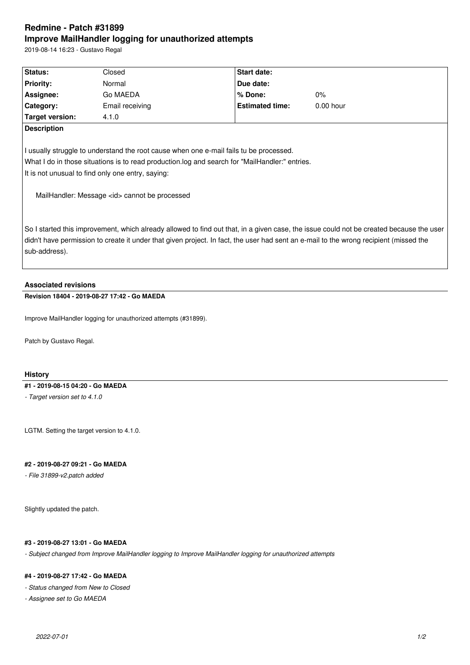# **Redmine - Patch #31899 Improve MailHandler logging for unauthorized attempts**

2019-08-14 16:23 - Gustavo Regal

| Status:          | Closed          | <b>Start date:</b>     |             |  |
|------------------|-----------------|------------------------|-------------|--|
| <b>Priority:</b> | Normal          | Due date:              |             |  |
| Assignee:        | Go MAEDA        | l% Done:               | $0\%$       |  |
| <b>Category:</b> | Email receiving | <b>Estimated time:</b> | $0.00$ hour |  |
| Target version:  | 4.1.0           |                        |             |  |
| Description      |                 |                        |             |  |

I usually struggle to understand the root cause when one e-mail fails tu be processed. What I do in those situations is to read production.log and search for "MailHandler:" entries. It is not unusual to find only one entry, saying:

MailHandler: Message <id> cannot be processed

So I started this improvement, which already allowed to find out that, in a given case, the issue could not be created because the user didn't have permission to create it under that given project. In fact, the user had sent an e-mail to the wrong recipient (missed the sub-address).

# **Associated revisions**

# **Revision 18404 - 2019-08-27 17:42 - Go MAEDA**

Improve MailHandler logging for unauthorized attempts (#31899).

Patch by Gustavo Regal.

## **History**

#### **#1 - 2019-08-15 04:20 - Go MAEDA**

*- Target version set to 4.1.0*

LGTM. Setting the target version to 4.1.0.

#### **#2 - 2019-08-27 09:21 - Go MAEDA**

*- File 31899-v2.patch added*

Slightly updated the patch.

## **#3 - 2019-08-27 13:01 - Go MAEDA**

*- Subject changed from Improve MailHandler logging to Improve MailHandler logging for unauthorized attempts*

## **#4 - 2019-08-27 17:42 - Go MAEDA**

*- Status changed from New to Closed*

*- Assignee set to Go MAEDA*